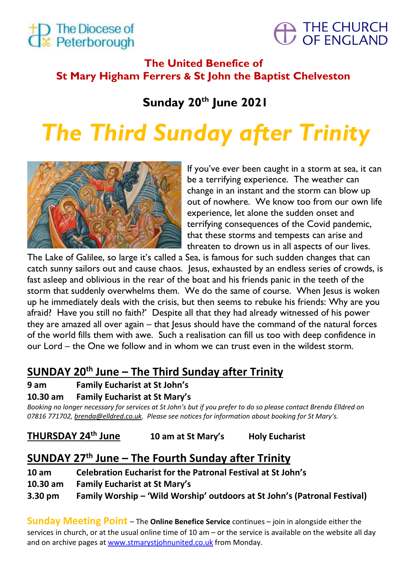



# **The United Benefice of St Mary Higham Ferrers & St John the Baptist Chelveston**

# **Sunday 20th June 2021**

# *The Third Sunday after Trinity*



If you've ever been caught in a storm at sea, it can be a terrifying experience. The weather can change in an instant and the storm can blow up out of nowhere. We know too from our own life experience, let alone the sudden onset and terrifying consequences of the Covid pandemic, that these storms and tempests can arise and threaten to drown us in all aspects of our lives.

The Lake of Galilee, so large it's called a Sea, is famous for such sudden changes that can catch sunny sailors out and cause chaos. Jesus, exhausted by an endless series of crowds, is fast asleep and oblivious in the rear of the boat and his friends panic in the teeth of the storm that suddenly overwhelms them. We do the same of course. When Jesus is woken up he immediately deals with the crisis, but then seems to rebuke his friends: Why are you afraid? Have you still no faith?' Despite all that they had already witnessed of his power they are amazed all over again – that Jesus should have the command of the natural forces of the world fills them with awe. Such a realisation can fill us too with deep confidence in our Lord – the One we follow and in whom we can trust even in the wildest storm.

# **SUNDAY 20th June – The Third Sunday after Trinity**

# **9 am Family Eucharist at St John's**

# **10.30 am Family Eucharist at St Mary's**

*Booking no longer necessary for services at St John's but if you prefer to do so please contact Brenda Elldred on 07816 771702[, brenda@elldred.co.uk](mailto:brenda@elldred.co.uk). Please see notices for information about booking for St Mary's.*

**THURSDAY 24th June 10 am at St Mary's Holy Eucharist**

# **SUNDAY 27 th June – The Fourth Sunday after Trinity**

**10 am Celebration Eucharist for the Patronal Festival at St John's**

**10.30 am Family Eucharist at St Mary's**

**3.30 pm Family Worship – 'Wild Worship' outdoors at St John's (Patronal Festival)**

**Sunday Meeting Point** – The **Online Benefice Service** continues – join in alongside either the services in church, or at the usual online time of 10 am – or the service is available on the website all day and on archive pages at www.stmarystjohnunited.co.uk from Monday.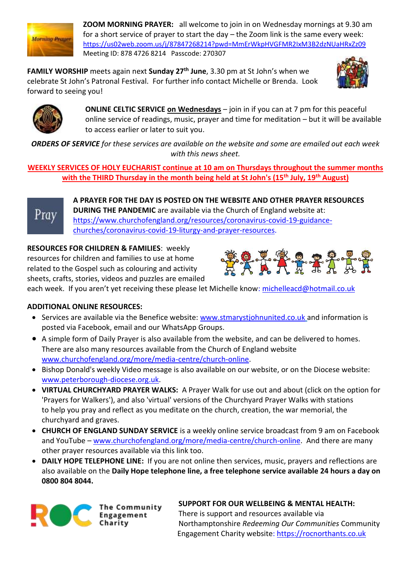

**ZOOM MORNING PRAYER:** all welcome to join in on Wednesday mornings at 9.30 am for a short service of prayer to start the day – the Zoom link is the same every week: <https://us02web.zoom.us/j/87847268214?pwd=MmErWkpHVGFMR2IxM3B2dzNUaHRxZz09> Meeting ID: 878 4726 8214 Passcode: 270307

**FAMILY WORSHIP** meets again next **Sunday 27th June**, 3.30 pm at St John's when we celebrate St John's Patronal Festival. For further info contact Michelle or Brenda. Look forward to seeing you!





**ONLINE CELTIC SERVICE on Wednesdays** – join in if you can at 7 pm for this peaceful online service of readings, music, prayer and time for meditation – but it will be available to access earlier or later to suit you.

*ORDERS OF SERVICE for these services are available on the website and some are emailed out each week with this news sheet.*

**WEEKLY SERVICES OF HOLY EUCHARIST continue at 10 am on Thursdays throughout the summer months with the THIRD Thursday in the month being held at St John's (15th July, 19th August)**



**A PRAYER FOR THE DAY IS POSTED ON THE WEBSITE AND OTHER PRAYER RESOURCES DURING THE PANDEMIC** are available via the Church of England website at: [https://www.churchofengland.org/resources/coronavirus-covid-19-guidance](https://www.churchofengland.org/resources/coronavirus-covid-19-guidance-churches/coronavirus-covid-19-liturgy-and-prayer-resources)[churches/coronavirus-covid-19-liturgy-and-prayer-resources.](https://www.churchofengland.org/resources/coronavirus-covid-19-guidance-churches/coronavirus-covid-19-liturgy-and-prayer-resources)

**RESOURCES FOR CHILDREN & FAMILIES**: weekly resources for children and families to use at home related to the Gospel such as colouring and activity sheets, crafts, stories, videos and puzzles are emailed



each week. If you aren't yet receiving these please let Michelle know: [michelleacd@hotmail.co.uk](mailto:michelleacd@hotmail.co.uk)

# **ADDITIONAL ONLINE RESOURCES:**

- Services are available via the Benefice website: [www.stmarystjohnunited.co.uk](http://www.stmarystjohnunited.co.uk/) and information is posted via Facebook, email and our WhatsApp Groups.
- A simple form of Daily Prayer is also available from the website, and can be delivered to homes. There are also many resources available from the Church of England website [www.churchofengland.org/more/media-centre/church-online.](http://www.churchofengland.org/more/media-centre/church-online)
- Bishop Donald's weekly Video message is also available on our website, or on the Diocese website: [www.peterborough-diocese.org.uk.](http://www.peterborough-diocese.org.uk/)
- **VIRTUAL CHURCHYARD PRAYER WALKS:** A Prayer Walk for use out and about (click on the option for 'Prayers for Walkers'), and also 'virtual' versions of the Churchyard Prayer Walks with stations to help you pray and reflect as you meditate on the church, creation, the war memorial, the churchyard and graves.
- **CHURCH OF ENGLAND SUNDAY SERVICE** is a weekly online service broadcast from 9 am on Facebook and YouTube – [www.churchofengland.org/more/media-centre/church-online.](https://www.churchofengland.org/more/media-centre/church-online/previous-online-services) And there are many other prayer resources available via this link too.
- **DAILY HOPE TELEPHONE LINE:** If you are not online then services, music, prayers and reflections are also available on the **Daily Hope telephone line, a free telephone service available 24 hours a day on 0800 804 8044.**



**The Community** Engagement

**SUPPORT FOR OUR WELLBEING & MENTAL HEALTH:**

There is support and resources available via Northamptonshire *Redeeming Our Communities* Community Engagement Charity website: [https://rocnorthants.co.uk](https://rocnorthants.co.uk/)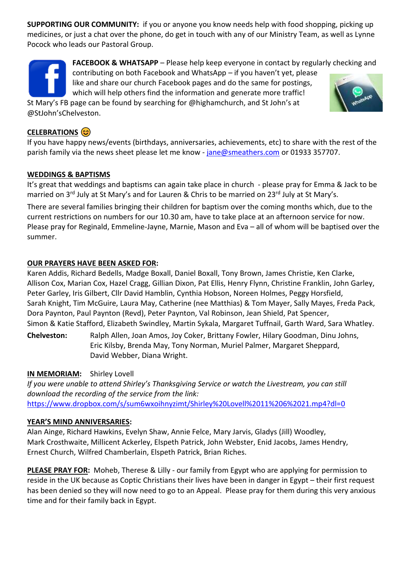**SUPPORTING OUR COMMUNITY:** if you or anyone you know needs help with food shopping, picking up medicines, or just a chat over the phone, do get in touch with any of our Ministry Team, as well as Lynne Pocock who leads our Pastoral Group.

**FACEBOOK & WHATSAPP** – Please help keep everyone in contact by regularly checking and

contributing on both Facebook and WhatsApp – if you haven't yet, please like and share our church Facebook pages and do the same for postings, which will help others find the information and generate more traffic!

St Mary's FB page can be found by searching for @highamchurch, and St John's at @StJohn'sChelveston.

# **CELEBRATIONS**

If you have happy news/events (birthdays, anniversaries, achievements, etc) to share with the rest of the parish family via the news sheet please let me know - [jane@smeathers.com](mailto:jane@smeathers.com) or 01933 357707.

## **WEDDINGS & BAPTISMS**

It's great that weddings and baptisms can again take place in church - please pray for Emma & Jack to be married on 3<sup>rd</sup> July at St Mary's and for Lauren & Chris to be married on 23<sup>rd</sup> July at St Mary's.

There are several families bringing their children for baptism over the coming months which, due to the current restrictions on numbers for our 10.30 am, have to take place at an afternoon service for now. Please pray for Reginald, Emmeline-Jayne, Marnie, Mason and Eva – all of whom will be baptised over the summer.

## **OUR PRAYERS HAVE BEEN ASKED FOR:**

Karen Addis, Richard Bedells, Madge Boxall, Daniel Boxall, Tony Brown, James Christie, Ken Clarke, Allison Cox, Marian Cox, Hazel Cragg, Gillian Dixon, Pat Ellis, Henry Flynn, Christine Franklin, John Garley, Peter Garley, Iris Gilbert, Cllr David Hamblin, Cynthia Hobson, Noreen Holmes, Peggy Horsfield, Sarah Knight, Tim McGuire, Laura May, Catherine (nee Matthias) & Tom Mayer, Sally Mayes, Freda Pack, Dora Paynton, Paul Paynton (Revd), Peter Paynton, Val Robinson, Jean Shield, Pat Spencer, Simon & Katie Stafford, Elizabeth Swindley, Martin Sykala, Margaret Tuffnail, Garth Ward, Sara Whatley.

**Chelveston:** Ralph Allen, Joan Amos, Joy Coker, Brittany Fowler, Hilary Goodman, Dinu Johns, Eric Kilsby, Brenda May, Tony Norman, Muriel Palmer, Margaret Sheppard, David Webber, Diana Wright.

# **IN MEMORIAM:** Shirley Lovell

*If you were unable to attend Shirley's Thanksgiving Service or watch the Livestream, you can still download the recording of the service from the link:* [https://www.dropbox.com/s/sum6wxoihnyzimt/Shirley%20Lovell%2011%206%2021.mp4?dl=0](https://emea01.safelinks.protection.outlook.com/?url=https%3A%2F%2Fwww.dropbox.com%2Fs%2Fsum6wxoihnyzimt%2FShirley%2520Lovell%252011%25206%252021.mp4%3Fdl%3D0&data=04%7C01%7C%7Ce4ba28a6acf44ff2496108d92cea8fc6%7C84df9e7fe9f640afb435aaaaaaaaaaaa%7C1%7C0%7C637590208205441853%7CUnknown%7CTWFpbGZsb3d8eyJWIjoiMC4wLjAwMDAiLCJQIjoiV2luMzIiLCJBTiI6Ik1haWwiLCJXVCI6Mn0%3D%7C1000&sdata=dPyrtkPFN9LQnc%2B15RxYRcKof6A3IrIfekMxTp9HvD0%3D&reserved=0)

# **YEAR'S MIND ANNIVERSARIES:**

Alan Ainge, Richard Hawkins, Evelyn Shaw, Annie Felce, Mary Jarvis, Gladys (Jill) Woodley, Mark Crosthwaite, Millicent Ackerley, Elspeth Patrick, John Webster, Enid Jacobs, James Hendry, Ernest Church, Wilfred Chamberlain, Elspeth Patrick, Brian Riches.

**PLEASE PRAY FOR:** Moheb, Therese & Lilly - our family from Egypt who are applying for permission to reside in the UK because as Coptic Christians their lives have been in danger in Egypt – their first request has been denied so they will now need to go to an Appeal. Please pray for them during this very anxious time and for their family back in Egypt.

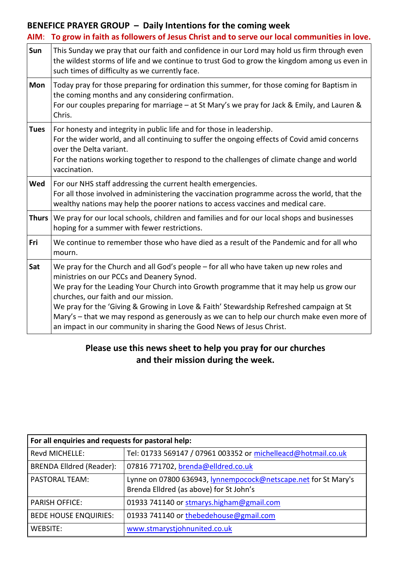# **BENEFICE PRAYER GROUP – Daily Intentions for the coming week**

| AIM:         | To grow in faith as followers of Jesus Christ and to serve our local communities in love.                                                                                                                                                                                                                                                                                                                                                                                                                                            |
|--------------|--------------------------------------------------------------------------------------------------------------------------------------------------------------------------------------------------------------------------------------------------------------------------------------------------------------------------------------------------------------------------------------------------------------------------------------------------------------------------------------------------------------------------------------|
| Sun          | This Sunday we pray that our faith and confidence in our Lord may hold us firm through even<br>the wildest storms of life and we continue to trust God to grow the kingdom among us even in<br>such times of difficulty as we currently face.                                                                                                                                                                                                                                                                                        |
| Mon          | Today pray for those preparing for ordination this summer, for those coming for Baptism in<br>the coming months and any considering confirmation.<br>For our couples preparing for marriage – at St Mary's we pray for Jack & Emily, and Lauren &<br>Chris.                                                                                                                                                                                                                                                                          |
| <b>Tues</b>  | For honesty and integrity in public life and for those in leadership.<br>For the wider world, and all continuing to suffer the ongoing effects of Covid amid concerns<br>over the Delta variant.<br>For the nations working together to respond to the challenges of climate change and world<br>vaccination.                                                                                                                                                                                                                        |
| Wed          | For our NHS staff addressing the current health emergencies.<br>For all those involved in administering the vaccination programme across the world, that the<br>wealthy nations may help the poorer nations to access vaccines and medical care.                                                                                                                                                                                                                                                                                     |
| <b>Thurs</b> | We pray for our local schools, children and families and for our local shops and businesses<br>hoping for a summer with fewer restrictions.                                                                                                                                                                                                                                                                                                                                                                                          |
| Fri          | We continue to remember those who have died as a result of the Pandemic and for all who<br>mourn.                                                                                                                                                                                                                                                                                                                                                                                                                                    |
| Sat          | We pray for the Church and all God's people - for all who have taken up new roles and<br>ministries on our PCCs and Deanery Synod.<br>We pray for the Leading Your Church into Growth programme that it may help us grow our<br>churches, our faith and our mission.<br>We pray for the 'Giving & Growing in Love & Faith' Stewardship Refreshed campaign at St<br>Mary's - that we may respond as generously as we can to help our church make even more of<br>an impact in our community in sharing the Good News of Jesus Christ. |

# **Please use this news sheet to help you pray for our churches and their mission during the week.**

| For all enquiries and requests for pastoral help: |                                                                                                           |  |  |
|---------------------------------------------------|-----------------------------------------------------------------------------------------------------------|--|--|
| Revd MICHELLE:                                    | Tel: 01733 569147 / 07961 003352 or michelleacd@hotmail.co.uk                                             |  |  |
| <b>BRENDA Elldred (Reader):</b>                   | 07816 771702, brenda@elldred.co.uk                                                                        |  |  |
| <b>PASTORAL TEAM:</b>                             | Lynne on 07800 636943, lynnempocock@netscape.net for St Mary's<br>Brenda Elldred (as above) for St John's |  |  |
| <b>PARISH OFFICE:</b>                             | 01933 741140 or stmarys.higham@gmail.com                                                                  |  |  |
| <b>BEDE HOUSE ENQUIRIES:</b>                      | 01933 741140 or thebedehouse@gmail.com                                                                    |  |  |
| WEBSITE:                                          | www.stmarystjohnunited.co.uk                                                                              |  |  |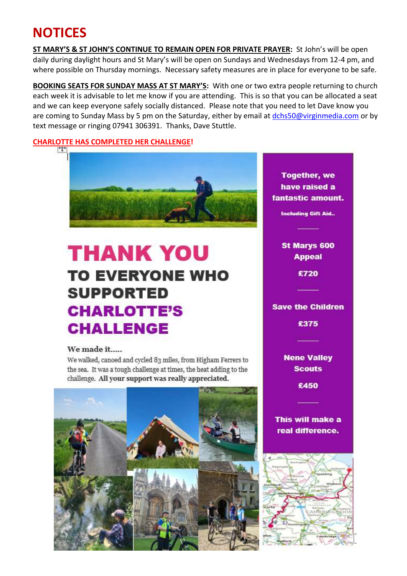# **NOTICES**

**ST MARY'S & ST JOHN'S CONTINUE TO REMAIN OPEN FOR PRIVATE PRAYER:** St John's will be open daily during daylight hours and St Mary's will be open on Sundays and Wednesdays from 12-4 pm, and where possible on Thursday mornings. Necessary safety measures are in place for everyone to be safe.

**BOOKING SEATS FOR SUNDAY MASS AT ST MARY'S:** With one or two extra people returning to church each week it is advisable to let me know if you are attending. This is so that you can be allocated a seat and we can keep everyone safely socially distanced. Please note that you need to let Dave know you are coming to Sunday Mass by 5 pm on the Saturday, either by email at [dchs50@virginmedia.com](mailto:dchs50@virginmedia.com) or by text message or ringing 07941 306391. Thanks, Dave Stuttle.

#### **CHARLOTTE HAS COMPLETED HER CHALLENGE!**



# **THANK YOU TO EVERYONE WHO SUPPORTED CHARLOTTE'S CHALLENGE**

#### We made it.....

We walked, canoed and cycled 83 miles, from Higham Ferrers to the sea. It was a tough challenge at times, the heat adding to the challenge. All your support was really appreciated.



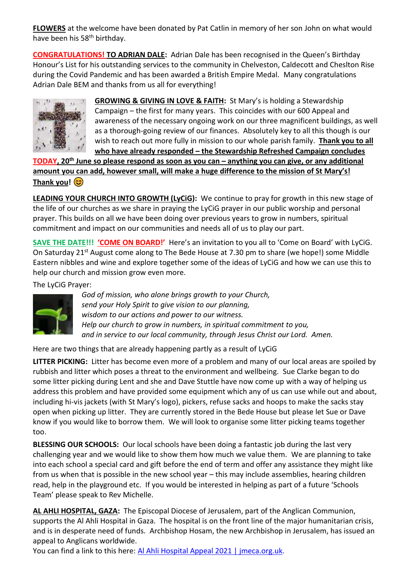**FLOWERS** at the welcome have been donated by Pat Catlin in memory of her son John on what would have been his 58<sup>th</sup> birthday.

**CONGRATULATIONS! TO ADRIAN DALE:** Adrian Dale has been recognised in the Queen's Birthday Honour's List for his outstanding services to the community in Chelveston, Caldecott and Cheslton Rise during the Covid Pandemic and has been awarded a British Empire Medal. Many congratulations Adrian Dale BEM and thanks from us all for everything!



**GROWING & GIVING IN LOVE & FAITH:** St Mary's is holding a Stewardship Campaign – the first for many years. This coincides with our 600 Appeal and awareness of the necessary ongoing work on our three magnificent buildings, as well as a thorough-going review of our finances. Absolutely key to all this though is our wish to reach out more fully in mission to our whole parish family. **Thank you to all who have already responded – the Stewardship Refreshed Campaign concludes**

TODAY, 20<sup>th</sup> June so please respond as soon as you can - anything you can give, or any additional **amount you can add, however small, will make a huge difference to the mission of St Mary's! Thank you!**

**LEADING YOUR CHURCH INTO GROWTH (LyCiG):** We continue to pray for growth in this new stage of the life of our churches as we share in praying the LyCiG prayer in our public worship and personal prayer. This builds on all we have been doing over previous years to grow in numbers, spiritual commitment and impact on our communities and needs all of us to play our part.

**SAVE THE DATE!!! 'COME ON BOARD!'** Here's an invitation to you all to 'Come on Board' with LyCiG. On Saturday 21<sup>st</sup> August come along to The Bede House at 7.30 pm to share (we hope!) some Middle Eastern nibbles and wine and explore together some of the ideas of LyCiG and how we can use this to help our church and mission grow even more.

The LyCiG Prayer:



*God of mission, who alone brings growth to your Church, send your Holy Spirit to give vision to our planning, wisdom to our actions and power to our witness. Help our church to grow in numbers, in spiritual commitment to you, and in service to our local community, through Jesus Christ our Lord. Amen.*

Here are two things that are already happening partly as a result of LyCiG

**LITTER PICKING:** Litter has become even more of a problem and many of our local areas are spoiled by rubbish and litter which poses a threat to the environment and wellbeing. Sue Clarke began to do some litter picking during Lent and she and Dave Stuttle have now come up with a way of helping us address this problem and have provided some equipment which any of us can use while out and about, including hi-vis jackets (with St Mary's logo), pickers, refuse sacks and hoops to make the sacks stay open when picking up litter. They are currently stored in the Bede House but please let Sue or Dave know if you would like to borrow them. We will look to organise some litter picking teams together too.

**BLESSING OUR SCHOOLS:** Our local schools have been doing a fantastic job during the last very challenging year and we would like to show them how much we value them. We are planning to take into each school a special card and gift before the end of term and offer any assistance they might like from us when that is possible in the new school year – this may include assemblies, hearing children read, help in the playground etc. If you would be interested in helping as part of a future 'Schools Team' please speak to Rev Michelle.

**AL AHLI HOSPITAL, GAZA:** The Episcopal Diocese of Jerusalem, part of the Anglican Communion, supports the Al Ahli Hospital in Gaza. The hospital is on the front line of the major humanitarian crisis, and is in desperate need of funds. Archbishop Hosam, the new Archbishop in Jerusalem, has issued an appeal to Anglicans worldwide.

You can find a link to this here: Al Ahli Hospital Appeal 2021 | [jmeca.org.uk.](https://emea01.safelinks.protection.outlook.com/?url=https%3A%2F%2Fwww.jmeca.org.uk%2Fget-involved%2Fdonate%2Fcurrent-appeals-0%2Fal-ahli-hospital-appeal-2021&data=04%7C01%7C%7Ced1c19d1648d4a0f937408d9237402eb%7C84df9e7fe9f640afb435aaaaaaaaaaaa%7C1%7C0%7C637579804017966272%7CUnknown%7CTWFpbGZsb3d8eyJWIjoiMC4wLjAwMDAiLCJQIjoiV2luMzIiLCJBTiI6Ik1haWwiLCJXVCI6Mn0%3D%7C1000&sdata=uF13ppNSqW3dS%2F05ZeUvxXiDerXexiocl%2B4DUX22u%2Fs%3D&reserved=0)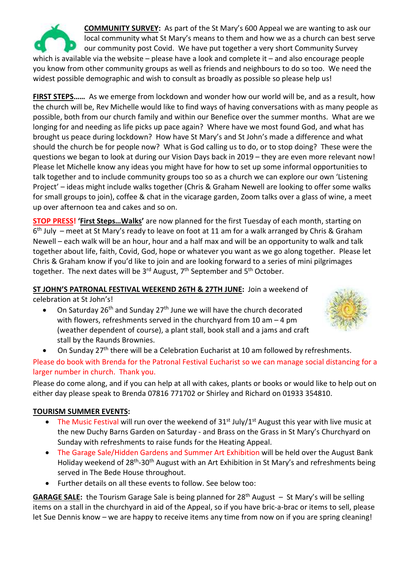

**COMMUNITY SURVEY:** As part of the St Mary's 600 Appeal we are wanting to ask our local community what St Mary's means to them and how we as a church can best serve our community post Covid. We have put together a very short Community Survey which is available via the website – please have a look and complete it – and also encourage people

you know from other community groups as well as friends and neighbours to do so too. We need the widest possible demographic and wish to consult as broadly as possible so please help us!

**FIRST STEPS……** As we emerge from lockdown and wonder how our world will be, and as a result, how the church will be, Rev Michelle would like to find ways of having conversations with as many people as possible, both from our church family and within our Benefice over the summer months. What are we longing for and needing as life picks up pace again? Where have we most found God, and what has brought us peace during lockdown? How have St Mary's and St John's made a difference and what should the church be for people now? What is God calling us to do, or to stop doing? These were the questions we began to look at during our Vision Days back in 2019 – they are even more relevant now! Please let Michelle know any ideas you might have for how to set up some informal opportunities to talk together and to include community groups too so as a church we can explore our own 'Listening Project' – ideas might include walks together (Chris & Graham Newell are looking to offer some walks for small groups to join), coffee & chat in the vicarage garden, Zoom talks over a glass of wine, a meet up over afternoon tea and cakes and so on.

**STOP PRESS! 'First Steps…Walks'** are now planned for the first Tuesday of each month, starting on 6<sup>th</sup> July – meet at St Mary's ready to leave on foot at 11 am for a walk arranged by Chris & Graham Newell – each walk will be an hour, hour and a half max and will be an opportunity to walk and talk together about life, faith, Covid, God, hope or whatever you want as we go along together. Please let Chris & Graham know if you'd like to join and are looking forward to a series of mini pilgrimages together. The next dates will be 3<sup>rd</sup> August, 7<sup>th</sup> September and 5<sup>th</sup> October.

**ST JOHN'S PATRONAL FESTIVAL WEEKEND 26TH & 27TH JUNE:** Join a weekend of celebration at St John's!

• On Saturday 26<sup>th</sup> and Sunday 27<sup>th</sup> June we will have the church decorated with flowers, refreshments served in the churchyard from 10 am – 4 pm (weather dependent of course), a plant stall, book stall and a jams and craft stall by the Raunds Brownies.



• On Sunday 27<sup>th</sup> there will be a Celebration Eucharist at 10 am followed by refreshments.

Please do book with Brenda for the Patronal Festival Eucharist so we can manage social distancing for a larger number in church. Thank you.

Please do come along, and if you can help at all with cakes, plants or books or would like to help out on either day please speak to Brenda 07816 771702 or Shirley and Richard on 01933 354810.

#### **TOURISM SUMMER EVENTS:**

- The Music Festival will run over the weekend of  $31^{st}$  July/ $1^{st}$  August this year with live music at the new Duchy Barns Garden on Saturday - and Brass on the Grass in St Mary's Churchyard on Sunday with refreshments to raise funds for the Heating Appeal.
- The Garage Sale/Hidden Gardens and Summer Art Exhibition will be held over the August Bank Holiday weekend of 28<sup>th</sup>-30<sup>th</sup> August with an Art Exhibition in St Mary's and refreshments being served in The Bede House throughout.
- Further details on all these events to follow. See below too:

**GARAGE SALE:** the Tourism Garage Sale is being planned for 28th August – St Mary's will be selling items on a stall in the churchyard in aid of the Appeal, so if you have bric-a-brac or items to sell, please let Sue Dennis know – we are happy to receive items any time from now on if you are spring cleaning!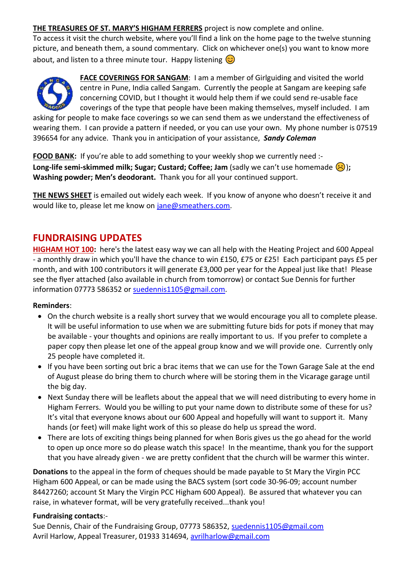**THE TREASURES OF ST. MARY'S HIGHAM FERRERS** project is now complete and online.

To access it visit the church website, where you'll find a link on the home page to the twelve stunning picture, and beneath them, a sound commentary. Click on whichever one(s) you want to know more about, and listen to a three minute tour. Happy listening  $\circled{c}$ 



**FACE COVERINGS FOR SANGAM**: I am a member of Girlguiding and visited the world centre in Pune, India called Sangam. Currently the people at Sangam are keeping safe concerning COVID, but I thought it would help them if we could send re-usable face coverings of the type that people have been making themselves, myself included. I am

asking for people to make face coverings so we can send them as we understand the effectiveness of wearing them. I can provide a pattern if needed, or you can use your own. My phone number is 07519 396654 for any advice. Thank you in anticipation of your assistance, *Sandy Coleman*

**FOOD BANK:** If you're able to add something to your weekly shop we currently need :-**Long-life semi-skimmed milk; Sugar; Custard; Coffee; Jam** (sadly we can't use homemade ( $\left(\frac{1}{2}\right)$ ); **Washing powder; Men's deodorant.** Thank you for all your continued support.

**THE NEWS SHEET** is emailed out widely each week. If you know of anyone who doesn't receive it and would like to, please let me know on [jane@smeathers.com.](mailto:jane@smeathers.com)

# **FUNDRAISING UPDATES**

**HIGHAM HOT 100:** here's the latest easy way we can all help with the Heating Project and 600 Appeal - a monthly draw in which you'll have the chance to win £150, £75 or £25! Each participant pays £5 per month, and with 100 contributors it will generate £3,000 per year for the Appeal just like that! Please see the flyer attached (also available in church from tomorrow) or contact Sue Dennis for further information 07773 586352 or [suedennis1105@gmail.com.](mailto:suedennis@jetnet.co.uk)

#### **Reminders**:

- On the church website is a really short survey that we would encourage you all to complete please. It will be useful information to use when we are submitting future bids for pots if money that may be available - your thoughts and opinions are really important to us. If you prefer to complete a paper copy then please let one of the appeal group know and we will provide one. Currently only 25 people have completed it.
- If you have been sorting out bric a brac items that we can use for the Town Garage Sale at the end of August please do bring them to church where will be storing them in the Vicarage garage until the big day.
- Next Sunday there will be leaflets about the appeal that we will need distributing to every home in Higham Ferrers. Would you be willing to put your name down to distribute some of these for us? It's vital that everyone knows about our 600 Appeal and hopefully will want to support it. Many hands (or feet) will make light work of this so please do help us spread the word.
- There are lots of exciting things being planned for when Boris gives us the go ahead for the world to open up once more so do please watch this space! In the meantime, thank you for the support that you have already given - we are pretty confident that the church will be warmer this winter.

**Donations** to the appeal in the form of cheques should be made payable to St Mary the Virgin PCC Higham 600 Appeal, or can be made using the BACS system (sort code 30-96-09; account number 84427260; account St Mary the Virgin PCC Higham 600 Appeal). Be assured that whatever you can raise, in whatever format, will be very gratefully received...thank you!

#### **Fundraising contacts**:-

Sue Dennis, Chair of the Fundraising Group, 07773 586352, [suedennis1105@gmail.com](mailto:suedennis1105@gmail.com) Avril Harlow, Appeal Treasurer, 01933 314694, [avrilharlow@gmail.com](mailto:avrilharlow@gmail.com)